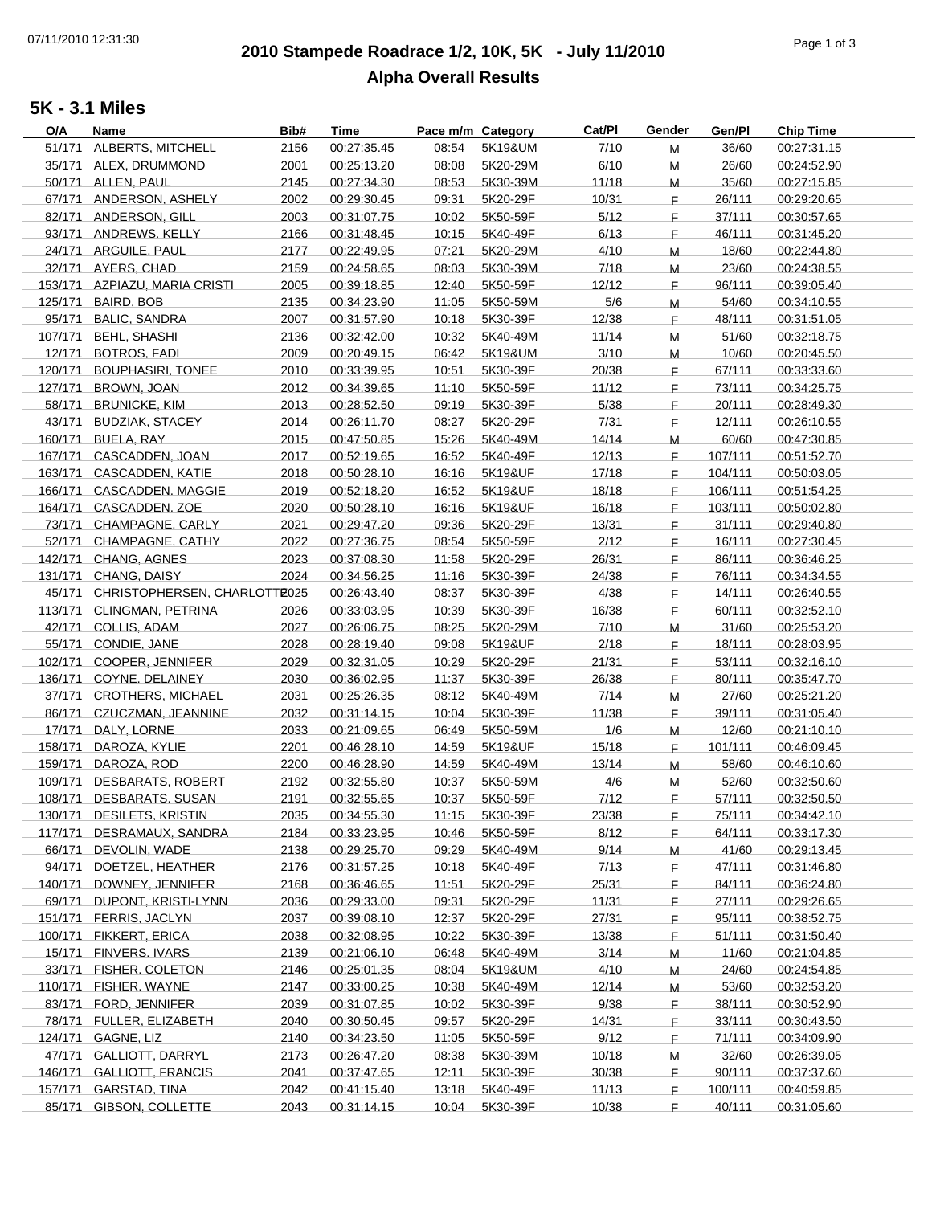# **2010 Stampede Roadrace 1/2, 10K, 5K - July 11/2010** 07/11/2010 12:31:30 Page 1 of 3 **Alpha Overall Results**

### **5K - 3.1 Miles**

| O/A     | Name                          | Bib# | <b>Time</b> | Pace m/m Category |          | Cat/Pl | Gender      | Gen/Pl  | <b>Chip Time</b> |
|---------|-------------------------------|------|-------------|-------------------|----------|--------|-------------|---------|------------------|
|         | 51/171 ALBERTS, MITCHELL      | 2156 | 00:27:35.45 | 08:54             | 5K19&UM  | 7/10   | M           | 36/60   | 00:27:31.15      |
|         | 35/171 ALEX, DRUMMOND         | 2001 | 00:25:13.20 | 08:08             | 5K20-29M | 6/10   | M           | 26/60   | 00:24:52.90      |
|         | 50/171 ALLEN, PAUL            | 2145 | 00:27:34.30 | 08:53             | 5K30-39M | 11/18  | M           | 35/60   | 00:27:15.85      |
|         | 67/171 ANDERSON, ASHELY       | 2002 | 00:29:30.45 | 09:31             | 5K20-29F | 10/31  | F.          | 26/111  | 00:29:20.65      |
|         | 82/171 ANDERSON, GILL         | 2003 | 00:31:07.75 | 10:02             | 5K50-59F | 5/12   | F.          | 37/111  | 00:30:57.65      |
|         | 93/171 ANDREWS, KELLY         | 2166 | 00:31:48.45 | 10:15             | 5K40-49F | 6/13   | $\mathsf F$ | 46/111  | 00:31:45.20      |
|         | 24/171 ARGUILE, PAUL          | 2177 | 00:22:49.95 | 07:21             | 5K20-29M | 4/10   | M           | 18/60   | 00:22:44.80      |
|         | 32/171 AYERS, CHAD            | 2159 | 00:24:58.65 | 08:03             | 5K30-39M | 7/18   |             | 23/60   | 00:24:38.55      |
|         |                               |      |             |                   |          |        | M           |         |                  |
|         | 153/171 AZPIAZU, MARIA CRISTI | 2005 | 00:39:18.85 | 12:40             | 5K50-59F | 12/12  | F.          | 96/111  | 00:39:05.40      |
| 125/171 | BAIRD, BOB                    | 2135 | 00:34:23.90 | 11:05             | 5K50-59M | 5/6    | M           | 54/60   | 00:34:10.55      |
| 95/171  | <b>BALIC, SANDRA</b>          | 2007 | 00:31:57.90 | 10:18             | 5K30-39F | 12/38  | F.          | 48/111  | 00:31:51.05      |
| 107/171 | <b>BEHL, SHASHI</b>           | 2136 | 00:32:42.00 | 10:32             | 5K40-49M | 11/14  | M           | 51/60   | 00:32:18.75      |
| 12/171  | <b>BOTROS, FADI</b>           | 2009 | 00:20:49.15 | 06:42             | 5K19&UM  | 3/10   | M           | 10/60   | 00:20:45.50      |
| 120/171 | <b>BOUPHASIRI, TONEE</b>      | 2010 | 00:33:39.95 | 10:51             | 5K30-39F | 20/38  | $\mathsf F$ | 67/111  | 00:33:33.60      |
| 127/171 | BROWN, JOAN                   | 2012 | 00:34:39.65 | 11:10             | 5K50-59F | 11/12  | $\mathsf F$ | 73/111  | 00:34:25.75      |
| 58/171  | <b>BRUNICKE, KIM</b>          | 2013 | 00:28:52.50 | 09:19             | 5K30-39F | 5/38   | $\mathsf F$ | 20/111  | 00:28:49.30      |
| 43/171  | <b>BUDZIAK, STACEY</b>        | 2014 | 00:26:11.70 | 08:27             | 5K20-29F | 7/31   | $\mathsf F$ | 12/111  | 00:26:10.55      |
| 160/171 | BUELA, RAY                    | 2015 | 00:47:50.85 | 15:26             | 5K40-49M | 14/14  | M           | 60/60   | 00:47:30.85      |
| 167/171 | CASCADDEN, JOAN               | 2017 | 00:52:19.65 | 16:52             | 5K40-49F | 12/13  | F.          | 107/111 | 00:51:52.70      |
| 163/171 | CASCADDEN, KATIE              | 2018 | 00:50:28.10 | 16:16             | 5K19&UF  | 17/18  | F.          | 104/111 | 00:50:03.05      |
| 166/171 | CASCADDEN, MAGGIE             | 2019 | 00:52:18.20 | 16:52             | 5K19&UF  | 18/18  | F.          | 106/111 | 00:51:54.25      |
|         | 164/171 CASCADDEN, ZOE        | 2020 | 00:50:28.10 | 16:16             | 5K19&UF  | 16/18  | F.          | 103/111 | 00:50:02.80      |
|         |                               |      |             |                   |          |        |             |         |                  |
| 73/171  | CHAMPAGNE, CARLY              | 2021 | 00:29:47.20 | 09:36             | 5K20-29F | 13/31  | F.          | 31/111  | 00:29:40.80      |
| 52/171  | CHAMPAGNE, CATHY              | 2022 | 00:27:36.75 | 08:54             | 5K50-59F | 2/12   | F.          | 16/111  | 00:27:30.45      |
| 142/171 | <b>CHANG, AGNES</b>           | 2023 | 00:37:08.30 | 11:58             | 5K20-29F | 26/31  | F.          | 86/111  | 00:36:46.25      |
|         | 131/171 CHANG, DAISY          | 2024 | 00:34:56.25 | 11:16             | 5K30-39F | 24/38  | F.          | 76/111  | 00:34:34.55      |
| 45/171  | CHRISTOPHERSEN, CHARLOTTE025  |      | 00:26:43.40 | 08:37             | 5K30-39F | 4/38   | F.          | 14/111  | 00:26:40.55      |
| 113/171 | CLINGMAN, PETRINA             | 2026 | 00:33:03.95 | 10:39             | 5K30-39F | 16/38  | F.          | 60/111  | 00:32:52.10      |
| 42/171  | COLLIS, ADAM                  | 2027 | 00:26:06.75 | 08:25             | 5K20-29M | 7/10   | M           | 31/60   | 00:25:53.20      |
|         | 55/171 CONDIE, JANE           | 2028 | 00:28:19.40 | 09:08             | 5K19&UF  | 2/18   | $\mathsf F$ | 18/111  | 00:28:03.95      |
| 102/171 | COOPER, JENNIFER              | 2029 | 00:32:31.05 | 10:29             | 5K20-29F | 21/31  | $\mathsf F$ | 53/111  | 00:32:16.10      |
| 136/171 | COYNE, DELAINEY               | 2030 | 00:36:02.95 | 11:37             | 5K30-39F | 26/38  | $\mathsf F$ | 80/111  | 00:35:47.70      |
| 37/171  | <b>CROTHERS, MICHAEL</b>      | 2031 | 00:25:26.35 | 08:12             | 5K40-49M | 7/14   | M           | 27/60   | 00:25:21.20      |
|         | 86/171 CZUCZMAN, JEANNINE     | 2032 | 00:31:14.15 | 10:04             | 5K30-39F | 11/38  | F.          | 39/111  | 00:31:05.40      |
| 17/171  | DALY, LORNE                   | 2033 | 00:21:09.65 | 06:49             | 5K50-59M | 1/6    | M           | 12/60   | 00:21:10.10      |
| 158/171 | DAROZA, KYLIE                 | 2201 | 00:46:28.10 | 14:59             | 5K19&UF  | 15/18  | F.          | 101/111 | 00:46:09.45      |
| 159/171 | DAROZA, ROD                   | 2200 | 00:46:28.90 | 14:59             | 5K40-49M | 13/14  | M           | 58/60   | 00:46:10.60      |
| 109/171 | <b>DESBARATS, ROBERT</b>      | 2192 | 00:32:55.80 | 10:37             | 5K50-59M | 4/6    |             | 52/60   | 00:32:50.60      |
|         |                               |      |             |                   |          |        | M           |         |                  |
| 108/171 | DESBARATS, SUSAN              | 2191 | 00:32:55.65 | 10:37             | 5K50-59F | 7/12   | F.          | 57/111  | 00:32:50.50      |
| 130/171 | DESILETS, KRISTIN             | 2035 | 00:34:55.30 | 11:15             | 5K30-39F | 23/38  | F           | 75/111  | 00:34:42.10      |
| 117/171 | DESRAMAUX, SANDRA             | 2184 | 00:33:23.95 | 10:46             | 5K50-59F | 8/12   | F.          | 64/111  | 00:33:17.30      |
| 66/171  | DEVOLIN, WADE                 | 2138 | 00:29:25.70 | 09:29             | 5K40-49M | 9/14   | M           | 41/60   | 00:29:13.45      |
| 94/171  | DOETZEL, HEATHER              | 2176 | 00:31:57.25 | 10:18             | 5K40-49F | 7/13   | F           | 47/111  | 00:31:46.80      |
| 140/171 | DOWNEY, JENNIFER              | 2168 | 00:36:46.65 | 11:51             | 5K20-29F | 25/31  | F           | 84/111  | 00:36:24.80      |
| 69/171  | DUPONT, KRISTI-LYNN           | 2036 | 00:29:33.00 | 09:31             | 5K20-29F | 11/31  | F           | 27/111  | 00:29:26.65      |
|         | 151/171 FERRIS, JACLYN        | 2037 | 00:39:08.10 | 12:37             | 5K20-29F | 27/31  | F           | 95/111  | 00:38:52.75      |
| 100/171 | FIKKERT, ERICA                | 2038 | 00:32:08.95 | 10:22             | 5K30-39F | 13/38  | F           | 51/111  | 00:31:50.40      |
| 15/171  | FINVERS, IVARS                | 2139 | 00:21:06.10 | 06:48             | 5K40-49M | 3/14   | M           | 11/60   | 00:21:04.85      |
| 33/171  | FISHER, COLETON               | 2146 | 00:25:01.35 | 08:04             | 5K19&UM  | 4/10   | M           | 24/60   | 00:24:54.85      |
|         | 110/171 FISHER, WAYNE         | 2147 | 00:33:00.25 | 10:38             | 5K40-49M | 12/14  | M           | 53/60   | 00:32:53.20      |
|         | 83/171 FORD, JENNIFER         | 2039 | 00:31:07.85 | 10:02             | 5K30-39F | 9/38   | F           | 38/111  | 00:30:52.90      |
| 78/171  | FULLER, ELIZABETH             | 2040 | 00:30:50.45 | 09:57             | 5K20-29F | 14/31  | F           | 33/111  | 00:30:43.50      |
| 124/171 | GAGNE, LIZ                    | 2140 | 00:34:23.50 | 11:05             | 5K50-59F | 9/12   | F.          | 71/111  | 00:34:09.90      |
|         | 47/171 GALLIOTT, DARRYL       | 2173 | 00:26:47.20 | 08:38             | 5K30-39M | 10/18  |             | 32/60   | 00:26:39.05      |
|         |                               |      |             |                   |          |        | M           |         |                  |
|         | 146/171 GALLIOTT, FRANCIS     | 2041 | 00:37:47.65 | 12:11             | 5K30-39F | 30/38  | F.          | 90/111  | 00:37:37.60      |
| 157/171 | <b>GARSTAD, TINA</b>          | 2042 | 00:41:15.40 | 13:18             | 5K40-49F | 11/13  | F.          | 100/111 | 00:40:59.85      |
| 85/171  | GIBSON, COLLETTE              | 2043 | 00:31:14.15 | 10:04             | 5K30-39F | 10/38  | F           | 40/111  | 00:31:05.60      |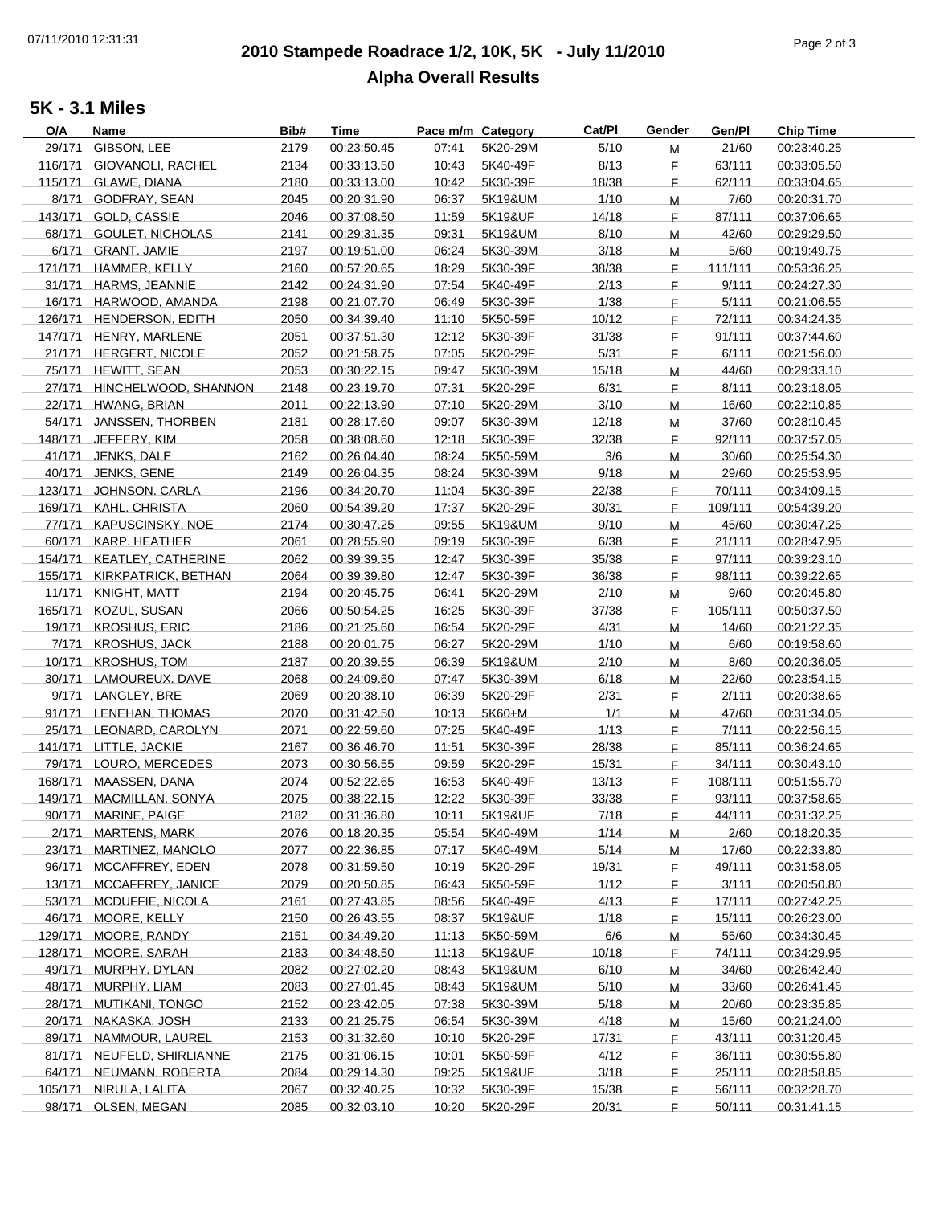# **2010 Stampede Roadrace 1/2, 10K, 5K - July 11/2010** 07/11/2010 12:31:31 Page 2 of 3 **Alpha Overall Results**

### **5K - 3.1 Miles**

| O/A     | Name                        | Bib# | <b>Time</b> | Pace m/m Category |          | Cat/Pl | Gender      | Gen/Pl  | <b>Chip Time</b> |
|---------|-----------------------------|------|-------------|-------------------|----------|--------|-------------|---------|------------------|
| 29/171  | GIBSON, LEE                 | 2179 | 00:23:50.45 | 07:41             | 5K20-29M | 5/10   | M           | 21/60   | 00:23:40.25      |
|         | 116/171 GIOVANOLI, RACHEL   | 2134 | 00:33:13.50 | 10:43             | 5K40-49F | 8/13   | F.          | 63/111  | 00:33:05.50      |
|         | 115/171 GLAWE, DIANA        | 2180 | 00:33:13.00 | 10:42             | 5K30-39F | 18/38  | F.          | 62/111  | 00:33:04.65      |
|         | 8/171 GODFRAY, SEAN         | 2045 | 00:20:31.90 | 06:37             | 5K19&UM  | 1/10   | M           | 7/60    | 00:20:31.70      |
|         | 143/171 GOLD, CASSIE        | 2046 | 00:37:08.50 | 11:59             | 5K19&UF  | 14/18  | F.          | 87/111  | 00:37:06.65      |
|         | 68/171 GOULET, NICHOLAS     | 2141 | 00:29:31.35 | 09:31             | 5K19&UM  | 8/10   | M           | 42/60   | 00:29:29.50      |
|         | 6/171 GRANT, JAMIE          | 2197 | 00:19:51.00 | 06:24             | 5K30-39M | 3/18   | M           | 5/60    | 00:19:49.75      |
|         |                             |      |             |                   |          |        |             |         |                  |
| 171/171 | HAMMER, KELLY               | 2160 | 00:57:20.65 | 18:29             | 5K30-39F | 38/38  | F.          | 111/111 | 00:53:36.25      |
|         | 31/171 HARMS, JEANNIE       | 2142 | 00:24:31.90 | 07:54             | 5K40-49F | 2/13   | F.          | 9/111   | 00:24:27.30      |
|         | 16/171 HARWOOD, AMANDA      | 2198 | 00:21:07.70 | 06:49             | 5K30-39F | 1/38   | F.          | 5/111   | 00:21:06.55      |
|         | 126/171 HENDERSON, EDITH    | 2050 | 00:34:39.40 | 11:10             | 5K50-59F | 10/12  | F.          | 72/111  | 00:34:24.35      |
|         | 147/171 HENRY, MARLENE      | 2051 | 00:37:51.30 | 12:12             | 5K30-39F | 31/38  | F.          | 91/111  | 00:37:44.60      |
|         | 21/171 HERGERT, NICOLE      | 2052 | 00:21:58.75 | 07:05             | 5K20-29F | 5/31   | F.          | 6/111   | 00:21:56.00      |
|         | 75/171 HEWITT, SEAN         | 2053 | 00:30:22.15 | 09:47             | 5K30-39M | 15/18  | M           | 44/60   | 00:29:33.10      |
|         | 27/171 HINCHELWOOD, SHANNON | 2148 | 00:23:19.70 | 07:31             | 5K20-29F | 6/31   | $\mathsf F$ | 8/111   | 00:23:18.05      |
| 22/171  | HWANG, BRIAN                | 2011 | 00:22:13.90 | 07:10             | 5K20-29M | 3/10   | M           | 16/60   | 00:22:10.85      |
|         | 54/171 JANSSEN, THORBEN     | 2181 | 00:28:17.60 | 09:07             | 5K30-39M | 12/18  | M           | 37/60   | 00:28:10.45      |
|         | 148/171 JEFFERY, KIM        | 2058 | 00:38:08.60 | 12:18             | 5K30-39F | 32/38  | F.          | 92/111  | 00:37:57.05      |
|         | 41/171 JENKS, DALE          | 2162 | 00:26:04.40 | 08:24             | 5K50-59M | 3/6    | M           | 30/60   | 00:25:54.30      |
| 40/171  | JENKS, GENE                 | 2149 | 00:26:04.35 | 08:24             | 5K30-39M | 9/18   | M           | 29/60   | 00:25:53.95      |
|         | 123/171 JOHNSON, CARLA      | 2196 | 00:34:20.70 | 11:04             | 5K30-39F | 22/38  | F.          | 70/111  | 00:34:09.15      |
|         | 169/171 KAHL, CHRISTA       | 2060 | 00:54:39.20 | 17:37             | 5K20-29F | 30/31  | F.          | 109/111 | 00:54:39.20      |
|         | 77/171 KAPUSCINSKY, NOE     | 2174 | 00:30:47.25 | 09:55             | 5K19&UM  | 9/10   |             | 45/60   |                  |
|         |                             |      |             |                   |          |        | M           |         | 00:30:47.25      |
| 60/171  | KARP, HEATHER               | 2061 | 00:28:55.90 | 09:19             | 5K30-39F | 6/38   | F.          | 21/111  | 00:28:47.95      |
|         | 154/171 KEATLEY, CATHERINE  | 2062 | 00:39:39.35 | 12:47             | 5K30-39F | 35/38  | F.          | 97/111  | 00:39:23.10      |
|         | 155/171 KIRKPATRICK, BETHAN | 2064 | 00:39:39.80 | 12:47             | 5K30-39F | 36/38  | F.          | 98/111  | 00:39:22.65      |
|         | 11/171 KNIGHT, MATT         | 2194 | 00:20:45.75 | 06:41             | 5K20-29M | 2/10   | M           | 9/60    | 00:20:45.80      |
|         | 165/171 KOZUL, SUSAN        | 2066 | 00:50:54.25 | 16:25             | 5K30-39F | 37/38  | F.          | 105/111 | 00:50:37.50      |
|         | 19/171 KROSHUS, ERIC        | 2186 | 00:21:25.60 | 06:54             | 5K20-29F | 4/31   | M           | 14/60   | 00:21:22.35      |
|         | 7/171 KROSHUS, JACK         | 2188 | 00:20:01.75 | 06:27             | 5K20-29M | 1/10   | M           | 6/60    | 00:19:58.60      |
| 10/171  | <b>KROSHUS, TOM</b>         | 2187 | 00:20:39.55 | 06:39             | 5K19&UM  | 2/10   | M           | 8/60    | 00:20:36.05      |
| 30/171  | LAMOUREUX, DAVE             | 2068 | 00:24:09.60 | 07:47             | 5K30-39M | 6/18   | M           | 22/60   | 00:23:54.15      |
|         | 9/171 LANGLEY, BRE          | 2069 | 00:20:38.10 | 06:39             | 5K20-29F | 2/31   | F           | 2/111   | 00:20:38.65      |
|         | 91/171 LENEHAN, THOMAS      | 2070 | 00:31:42.50 | 10:13             | 5K60+M   | 1/1    | M           | 47/60   | 00:31:34.05      |
|         | 25/171 LEONARD, CAROLYN     | 2071 | 00:22:59.60 | 07:25             | 5K40-49F | 1/13   | F.          | 7/111   | 00:22:56.15      |
|         | 141/171 LITTLE, JACKIE      | 2167 | 00:36:46.70 | 11:51             | 5K30-39F | 28/38  | F.          | 85/111  | 00:36:24.65      |
|         | 79/171 LOURO, MERCEDES      | 2073 | 00:30:56.55 | 09:59             | 5K20-29F | 15/31  | F.          | 34/111  | 00:30:43.10      |
|         | 168/171 MAASSEN, DANA       | 2074 | 00:52:22.65 | 16:53             | 5K40-49F | 13/13  | E           | 108/111 | 00:51:55.70      |
|         | 149/171 MACMILLAN, SONYA    | 2075 | 00:38:22.15 | 12:22             | 5K30-39F | 33/38  | F.          | 93/111  | 00:37:58.65      |
|         | 90/171 MARINE, PAIGE        | 2182 | 00:31:36.80 | 10:11             | 5K19&UF  | 7/18   | F           | 44/111  | 00:31:32.25      |
|         | 2/171 MARTENS, MARK         | 2076 | 00:18:20.35 | 05:54             | 5K40-49M | 1/14   |             | 2/60    | 00:18:20.35      |
|         | 23/171 MARTINEZ, MANOLO     |      |             | 07:17             | 5K40-49M |        | M           | 17/60   | 00:22:33.80      |
|         |                             | 2077 | 00:22:36.85 |                   |          | 5/14   | M           |         |                  |
|         | 96/171 MCCAFFREY, EDEN      | 2078 | 00:31:59.50 | 10:19             | 5K20-29F | 19/31  | F.          | 49/111  | 00:31:58.05      |
| 13/171  | MCCAFFREY, JANICE           | 2079 | 00:20:50.85 | 06:43             | 5K50-59F | 1/12   | F           | 3/111   | 00:20:50.80      |
| 53/171  | <b>MCDUFFIE, NICOLA</b>     | 2161 | 00:27:43.85 | 08:56             | 5K40-49F | 4/13   | F           | 17/111  | 00:27:42.25      |
|         | 46/171 MOORE, KELLY         | 2150 | 00:26:43.55 | 08:37             | 5K19&UF  | 1/18   | F.          | 15/111  | 00:26:23.00      |
|         | 129/171 MOORE, RANDY        | 2151 | 00:34:49.20 | 11:13             | 5K50-59M | 6/6    | M           | 55/60   | 00:34:30.45      |
| 128/171 | MOORE, SARAH                | 2183 | 00:34:48.50 | 11:13             | 5K19&UF  | 10/18  | F.          | 74/111  | 00:34:29.95      |
|         | 49/171 MURPHY, DYLAN        | 2082 | 00:27:02.20 | 08:43             | 5K19&UM  | 6/10   | M           | 34/60   | 00:26:42.40      |
|         | 48/171 MURPHY, LIAM         | 2083 | 00:27:01.45 | 08:43             | 5K19&UM  | 5/10   | M           | 33/60   | 00:26:41.45      |
|         | 28/171 MUTIKANI, TONGO      | 2152 | 00:23:42.05 | 07:38             | 5K30-39M | 5/18   | M           | 20/60   | 00:23:35.85      |
| 20/171  | NAKASKA, JOSH               | 2133 | 00:21:25.75 | 06:54             | 5K30-39M | 4/18   | M           | 15/60   | 00:21:24.00      |
|         | 89/171 NAMMOUR, LAUREL      | 2153 | 00:31:32.60 | 10:10             | 5K20-29F | 17/31  | F.          | 43/111  | 00:31:20.45      |
|         | 81/171 NEUFELD, SHIRLIANNE  | 2175 | 00:31:06.15 | 10:01             | 5K50-59F | 4/12   | F.          | 36/111  | 00:30:55.80      |
|         | 64/171 NEUMANN, ROBERTA     | 2084 | 00:29:14.30 | 09:25             | 5K19&UF  | 3/18   | F.          | 25/111  | 00:28:58.85      |
|         | 105/171 NIRULA, LALITA      | 2067 | 00:32:40.25 | 10:32             | 5K30-39F | 15/38  | F.          | 56/111  | 00:32:28.70      |
|         | 98/171 OLSEN, MEGAN         | 2085 | 00:32:03.10 | 10:20             | 5K20-29F | 20/31  | F           | 50/111  | 00:31:41.15      |
|         |                             |      |             |                   |          |        |             |         |                  |